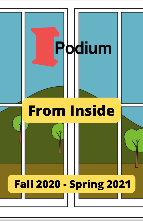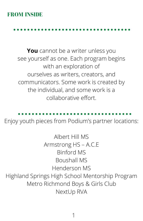#### **FROM INSIDE**

**You** cannot be a writer unless you see yourself as one. Each program begins with an exploration of ourselves as writers, creators, and communicators. Some work is created by the individual, and some work is a collaborative effort.

Enjoy youth pieces from Podium's partner locations:

Albert Hill MS Armstrong HS – A.C.E Binford MS Boushall MS Henderson MS Highland Springs High School Mentorship Program Metro Richmond Boys & Girls Club NextUp RVA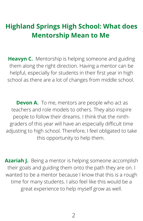### **Highland Springs High School: What does Mentorship Mean to Me**

**Heavyn C.** Mentorship is helping someone and guiding them along the right direction. Having a mentor can be helpful, especially for students in their first year in high school as there are a lot of changes from middle school.

**Devon A.** To me, mentors are people who act as teachers and role models to others. They also inspire people to follow their dreams. I think that the ninthgraders of this year will have an especially difficult time adjusting to high school. Therefore, I feel obligated to take this opportunity to help them.

**Azariah J.** Being a mentor is helping someone accomplish their goals and guiding them onto the path they are on. I wanted to be a mentor because I know that this is a rough time for many students. I also feel like this would be a great experience to help myself grow as well.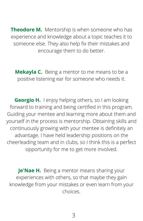**Theodore M.** Mentorship is when someone who has experience and knowledge about a topic teaches it to someone else. They also help fix their mistakes and encourage them to do better.

**Mekayla C.** Being a mentor to me means to be a positive listening ear for someone who needs it.

**Georgio H.** I enjoy helping others, so I am looking forward to training and being certified in this program. Guiding your mentee and learning more about them and yourself in the process is mentorship. Obtaining skills and continuously growing with your mentee is definitely an advantage. I have held leadership positions on the cheerleading team and in clubs, so I think this is a perfect opportunity for me to get more involved.

**Je'Nae H.** Being a mentor means sharing your experiences with others, so that maybe they gain knowledge from your mistakes or even learn from your choices.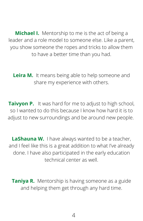**Michael I.** Mentorship to me is the act of being a leader and a role model to someone else. Like a parent, you show someone the ropes and tricks to allow them to have a better time than you had.

**Leira M.** It means being able to help someone and share my experience with others.

**Taivyon P.** It was hard for me to adjust to high school, so I wanted to do this because I know how hard it is to adjust to new surroundings and be around new people.

**LaShauna W.** I have always wanted to be a teacher, and I feel like this is a great addition to what I've already done. I have also participated in the early education technical center as well.

**Taniya R.** Mentorship is having someone as a guide and helping them get through any hard time.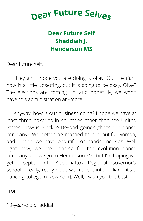## **<sup>D</sup>ea<sup>r</sup> <sup>F</sup>utur<sup>e</sup> <sup>S</sup>elve<sup>s</sup>**

#### **Dear Future Self Shaddiah J. Henderson MS**

Dear future self,

Hey girl, I hope you are doing is okay. Our life right now is a little upsetting, but it is going to be okay. Okay? The elections are coming up, and hopefully, we won't have this administration anymore.

Anyway, how is our business going? I hope we have at least three bakeries in countries other than the United States. How is Black & Beyond going? (that's our dance company). We better be married to a beautiful woman, and I hope we have beautiful or handsome kids. Well right now, we are dancing for the evolution dance company and we go to Henderson MS, but I'm hoping we get accepted into Appomattox Regional Governor's school. I really, really hope we make it into Juilliard (it's a dancing college in New York). Well, I wish you the best.

From,

13-year-old Shaddiah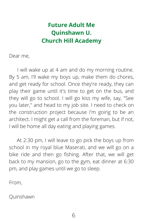#### **Future Adult Me Quinshawn U. Church Hill Academy**

Dear me,

I will wake up at 4 am and do my morning routine. By 5 am, I'll wake my boys up, make them do chores, and get ready for school. Once they're ready, they can play their game until it's time to get on the bus, and they will go to school. I will go kiss my wife, say, "See you later," and head to my job site. I need to check on the construction project because I'm going to be an architect. I might get a call from the foreman, but if not, I will be home all day eating and playing games.

At 2:30 pm, I will leave to go pick the boys up from school in my royal blue Maserati, and we will go on a bike ride and then go fishing. After that, we will get back to my mansion, go to the gym, eat dinner at 6:30 pm, and play games until we go to sleep.

From,

Quinshawn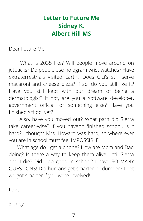#### **Letter to Future Me Sidney K. Albert Hill MS**

Dear Future Me,

What is 2035 like? Will people move around on jetpacks? Do people use hologram wrist watches? Have extraterrestrials visited Earth? Does Cici's still serve macaroni and cheese pizza? If so, do you still like it? Have you still kept with our dream of being a dermatologist? If not, are you a software developer, government official, or something else? Have you finished school yet?

Also, have you moved out? What path did Sierra take career-wise? If you haven't finished school, is it hard? I thought Mrs. Howard was hard, so where ever you are in school must feel IMPOSSIBLE.

What age do I get a phone? How are Mom and Dad doing? Is there a way to keep them alive until Sierra and I die? Did I do good in school? I have SO MANY QUESTIONS! Did humans get smarter or dumber? I bet we got smarter if you were involved!

Love,

Sidney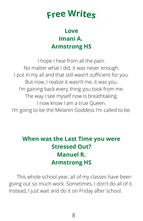## **Fre<sup>e</sup> Write<sup>s</sup>**

#### **Love Imani A. Armstrong HS**

I hope I heal from all the pain. No matter what I did, it was never enough. I put in my all and that still wasn't sufficient for you. But now, I realize it wasn't me, it was you. I'm gaining back every thing you took from me. The way I see myself now is breathtaking. I now know I am a true Queen. I'm going to be the Melanin Goddess I'm called to be.

#### **When was the Last Time you were Stressed Out? Manuel R. Armstrong HS**

This whole school year, all of my classes have been giving out so much work. Sometimes, I don't do all of it. Instead, I just wait and do it on Friday after school.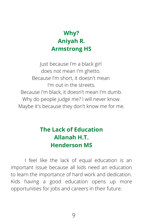#### **Why? Aniyah R. Armstrong HS**

Just because I'm a black girl does not mean I'm ghetto. Because I'm short, it doesn't mean I'm out in the streets. Because I'm black, it doesn't mean I'm dumb. Why do people judge me? I will never know. Maybe it's because they don't know me for me.

#### **The Lack of Education Allanah H.T. Henderson MS**

I feel like the lack of equal education is an important issue because all kids need an education to learn the importance of hard work and dedication. Kids having a good education opens up more opportunities for jobs and careers in their future.

9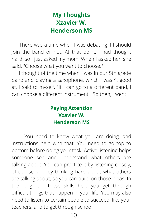#### **My Thoughts Xzavier W. Henderson MS**

There was a time when I was debating if I should join the band or not. At that point, I had thought hard, so I just asked my mom. When I asked her, she said, "Choose what you want to choose."

I thought of the time when I was in our 5th grade band and playing a saxophone, which I wasn't good at. I said to myself, "If I can go to a different band, I can choose a different instrument." So then, I went!

#### **Paying Attention Xzavier W. Henderson MS**

You need to know what you are doing, and instructions help with that. You need to go top to bottom before doing your task. Active listening helps someone see and understand what others are talking about. You can practice it by listening closely, of course, and by thinking hard about what others are talking about, so you can build on those ideas. In the long run, these skills help you get through difficult things that happen in your life. You may also need to listen to certain people to succeed, like your teachers, and to get through school.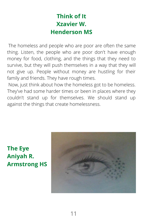#### **Think of It Xzavier W. Henderson MS**

The homeless and people who are poor are often the same thing. Listen, the people who are poor don't have enough money for food, clothing, and the things that they need to survive, but they will push themselves in a way that they will not give up. People without money are hustling for their family and friends. They have rough times.

Now, just think about how the homeless got to be homeless. They've had some harder times or been in places where they couldn't stand up for themselves. We should stand up against the things that create homelessness.

**The Eye Aniyah R. Armstrong HS**

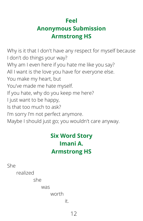#### **Feel Anonymous Submission Armstrong HS**

Why is it that I don't have any respect for myself because I don't do things your way? Why am I even here if you hate me like you say? All I want is the love you have for everyone else. You make my heart, but You've made me hate myself. If you hate, why do you keep me here? I just want to be happy, Is that too much to ask? I'm sorry I'm not perfect anymore. Maybe I should just go; you wouldn't care anyway.

#### **Six Word Story Imani A. Armstrong HS**

She

realized

she

was

worth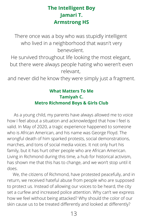#### **The Intelligent Boy Jamari T. Armstrong HS**

There once was a boy who was stupidly intelligent who lived in a neighborhood that wasn't very benevolent.

He survived throughout life looking the most elegant, but there were always people hating who weren't even relevant,

and never did he know they were simply just a fragment.

#### **What Matters To Me Tamiyah C. Metro Richmond Boys & Girls Club**

 As a young child, my parents have always allowed me to voice how I feel about a situation and acknowledged that how I feel is valid. In May of 2020, a tragic experience happened to someone who is African American, and his name was George Floyd. The wrongful death of him sparked protests, social demonstrations, marches, and tons of social media voices. It not only hurt his family, but it has hurt other people who are African American. Living in Richmond during this time, a hub for historical activism, has shown me that this has to change, and we won't stop until it does.

 We, the citizens of Richmond, have protested peacefully, and in return, we received hateful abuse from people who are supposed to protect us. Instead of allowing our voices to be heard, the city set a curfew and increased police attention. Why can't we express how we feel without being attacked? Why should the color of our skin cause us to be treated differently and looked at differently?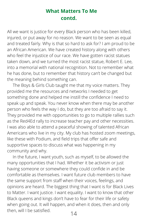#### **What Matters To Me contd.**

All we want is justice for every Black person who has been killed, injured, or put away for no reason. We want to be seen as equal and treated fairly. Why is that so hard to ask for? I am proud to be an African American. We have created history along with others who feel the injustice of our race. We have gotten racist statues taken down, and we turned the most racist statue, Robert E. Lee, into a memorial with national recognition. Not to remember what he has done, but to remember that history can't be changed but the meaning behind something can.

 The Boys & Girls Club taught me that my voice matters. They provided me the resources and networks I needed to get something done and helped me instill the confidence I need to speak up and speak. You never know when there may be another person who feels the way I do, but they are too afraid to say it. They provided me with opportunities to go to multiple rallies such as the Red4Ed rally to increase teacher pay and other necessities. I was also able to attend a peaceful showing of talented African Americans who live in my city. My club has hosted zoom meetings, like these with Podium, and field trips that offer safe and supportive spaces to discuss what was happening in my community and why.

14 In the future, I want youth, such as myself, to be allowed the many opportunities that I had. Whether it be activism or just having someone or somewhere they could confide in and be comfortable as themselves. I want future club members to have the same support from staff when their voices, feelings, and opinions are heard. The biggest thing that I want is for Black Lives to Matter. I want justice. I want equality. I want to know that other Black queens and kings don't have to fear for their life or safety when going out. It will happen, and when it does, then and only then, will I be satisfied.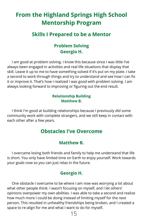#### **From the Highland Springs High School Mentorship Program**

#### **Skills I Prepared to be a Mentor**

#### **Problem Solving Georgio H.**

I am good at problem solving. I know this because since I was little I've always been engaged in activities and real life situations that display that skill. Leave it up to me to have something solved if it's put on my plate. I take a second to work through things and try to understand and see how I can fix it or improve it. That's how I realized I was good with problem solving. I am always looking forward to improving or figuring out the end result.

#### **Relationship Building Matthew B.**

I think I'm good at building relationships because I previously did some community work with complete strangers, and we still keep in contact with each other after a few years.

#### **Obstacles I've Overcome**

#### **Matthew B.**

I overcame losing both friends and family to help me understand that life is short. You only have limited time on Earth to enjoy yourself. Work towards your goals now so you can just relax in the future.

#### **Georgio H.**

One obstacle I overcame to be where I am now was worrying a lot about what other people think. I wasn't focusing on myself, and I let others' opinions overpower my own abilities. I was able to take a second and realize how much more I could be doing instead of limiting myself for the next person. This resulted in unhealthy friendships being broken, and I created a space to re-align for me and what I want to do for myself.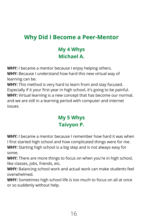#### **Why Did I Become a Peer-Mentor**

#### **My 4 Whys Michael A.**

**WHY:** I became a mentor because I enjoy helping others.

**WHY:** Because I understand how hard this new virtual way of learning can be.

**WHY:** This method is very hard to learn from and stay focused. Especially if it your first year in high school, it's going to be painful. **WHY:** Virtual learning is a new concept that has become our normal, and we are still in a learning period with computer and internet issues.

#### **My 5 Whys Taivyon P.**

**WHY:** I became a mentor because I remember how hard it was when I first started high school and how complicated things were for me.

**WHY:** Starting high school is a big step and is not always easy for some.

**WHY:** There are more things to focus on when you're in high school, like classes, jobs, friends, etc.

**WHY:** Balancing school work and actual work can make students feel overwhelmed.

**WHY:** Sometimes high school life is too much to focus on all at once or so suddenly without help.